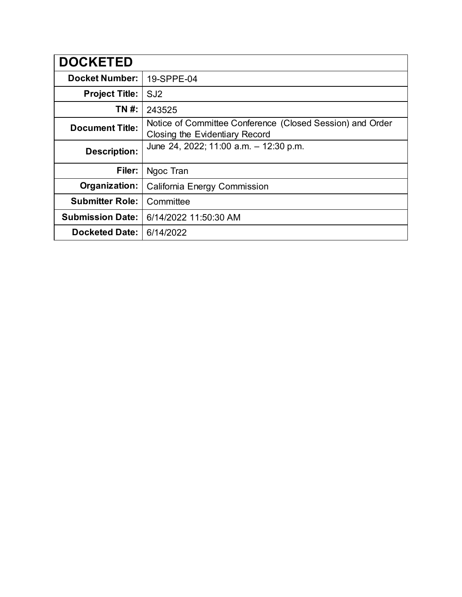| <b>DOCKETED</b>         |                                                                                             |
|-------------------------|---------------------------------------------------------------------------------------------|
| <b>Docket Number:</b>   | 19-SPPE-04                                                                                  |
| <b>Project Title:</b>   | SJ <sub>2</sub>                                                                             |
| TN #:                   | 243525                                                                                      |
| <b>Document Title:</b>  | Notice of Committee Conference (Closed Session) and Order<br>Closing the Evidentiary Record |
| <b>Description:</b>     | June 24, 2022; 11:00 a.m. - 12:30 p.m.                                                      |
| Filer:                  | Ngoc Tran                                                                                   |
| Organization:           | California Energy Commission                                                                |
| <b>Submitter Role:</b>  | Committee                                                                                   |
| <b>Submission Date:</b> | 6/14/2022 11:50:30 AM                                                                       |
| <b>Docketed Date:</b>   | 6/14/2022                                                                                   |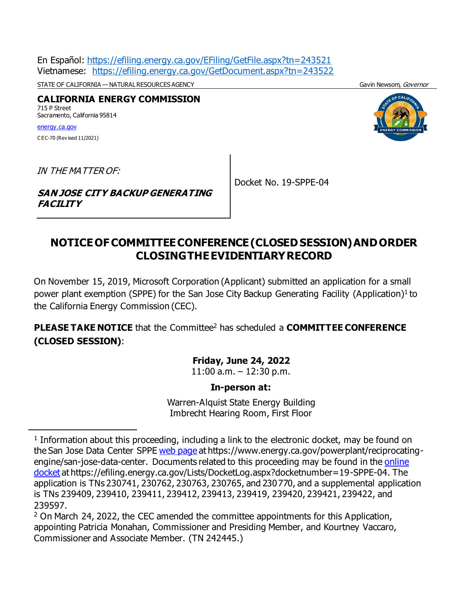En Español: [https://efiling.energy.ca.gov/EFiling/GetFile.aspx?tn=243521](https://efiling.energy.ca.gov/EFiling/GetFile.aspx?tn=243521&DocumentContentId=77356) Vietnamese: [https://efiling.energy.ca.gov/GetDocument.aspx?tn=243522](https://efiling.energy.ca.gov/GetDocument.aspx?tn=243522&DocumentContentId=77357)

STATE OF CALIFORNIA — NATURAL RESOURCES AGENCY GAVIN NEWSOM, GOVERNOT GAVIN Newsom, Governor

**CALIFORNIA ENERGY COMMISSION** 715 P Street Sacramento, California 95814 [energy.ca.gov](http://www.energy.ca.gov/)

C EC-70 (Rev ised 11/2021)

l



IN THE MATTER OF:

Docket No. 19-SPPE-04

#### **SAN JOSE CITY BACKUP GENERATING FACILITY**

# **NOTICEOFCOMMITTEECONFERENCE(CLOSEDSESSION)ANDORDER CLOSINGTHEEVIDENTIARYRECORD**

On November 15, 2019, Microsoft Corporation (Applicant) submitted an application for a small power plant exemption (SPPE) for the San Jose City Backup Generating Facility (Application)<sup>1</sup> to the California Energy Commission (CEC).

**PLEASE TAKE NOTICE** that the Committee<sup>2</sup> has scheduled a **COMMITTEE CONFERENCE (CLOSED SESSION)**:

#### **Friday, June 24, 2022**

11:00 a.m. – 12:30 p.m.

#### **In-person at:**

Warren-Alquist State Energy Building Imbrecht Hearing Room, First Floor

<sup>&</sup>lt;sup>1</sup> Information about this proceeding, including a link to the electronic docket, may be found on the San Jose Data Center SPPE [web page](https://ww2.energy.ca.gov/sitingcases/sj2/) at https://www.energy.ca.gov/powerplant/reciprocatingengine/san-jose-data-center. Documents related to this proceeding may be found in the [online](https://efiling.energy.ca.gov/Lists/DocketLog.aspx?docketnumber=19-SPPE-04)  [docket](https://efiling.energy.ca.gov/Lists/DocketLog.aspx?docketnumber=19-SPPE-04) at https://efiling.energy.ca.gov/Lists/DocketLog.aspx?docketnumber=19-SPPE-04. The application is TNs 230741, 230762, 230763, 230765, and 230770, and a supplemental application is TNs 239409, 239410, 239411, 239412, 239413, 239419, 239420, 239421, 239422, and 239597. 

<sup>&</sup>lt;sup>2</sup> On March 24, 2022, the CEC amended the committee appointments for this Application, appointing Patricia Monahan, Commissioner and Presiding Member, and Kourtney Vaccaro, Commissioner and Associate Member. (TN 242445.)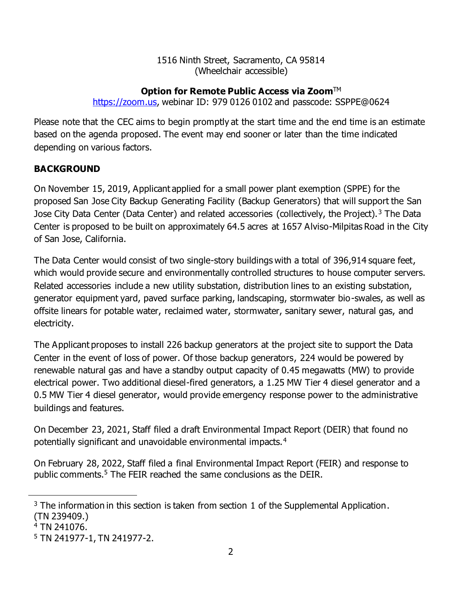#### 1516 Ninth Street, Sacramento, CA 95814 (Wheelchair accessible)

## **Option for Remote Public Access via Zoom™**

[https://zoom.us,](https://zoom.us/) webinar ID: 979 0126 0102 and passcode: SSPPE@0624

Please note that the CEC aims to begin promptly at the start time and the end time is an estimate based on the agenda proposed. The event may end sooner or later than the time indicated depending on various factors.

# **BACKGROUND**

On November 15, 2019, Applicant applied for a small power plant exemption (SPPE) for the proposed San Jose City Backup Generating Facility (Backup Generators) that will support the San Jose City Data Center (Data Center) and related accessories (collectively, the Project).<sup>3</sup> The Data Center is proposed to be built on approximately 64.5 acres at 1657 Alviso-Milpitas Road in the City of San Jose, California.

The Data Center would consist of two single-story buildings with a total of 396,914 square feet, which would provide secure and environmentally controlled structures to house computer servers. Related accessories include a new utility substation, distribution lines to an existing substation, generator equipment yard, paved surface parking, landscaping, stormwater bio-swales, as well as offsite linears for potable water, reclaimed water, stormwater, sanitary sewer, natural gas, and electricity.

The Applicant proposes to install 226 backup generators at the project site to support the Data Center in the event of loss of power. Of those backup generators, 224 would be powered by renewable natural gas and have a standby output capacity of 0.45 megawatts (MW) to provide electrical power. Two additional diesel-fired generators, a 1.25 MW Tier 4 diesel generator and a 0.5 MW Tier 4 diesel generator, would provide emergency response power to the administrative buildings and features.

On December 23, 2021, Staff filed a draft Environmental Impact Report (DEIR) that found no potentially significant and unavoidable environmental impacts.<sup>4</sup>

On February 28, 2022, Staff filed a final Environmental Impact Report (FEIR) and response to public comments.<sup>5</sup> The FEIR reached the same conclusions as the DEIR.

 $3$  The information in this section is taken from section 1 of the Supplemental Application. (TN 239409.)

 $4$  TN 241076.

<sup>5</sup> TN 241977-1, TN 241977-2.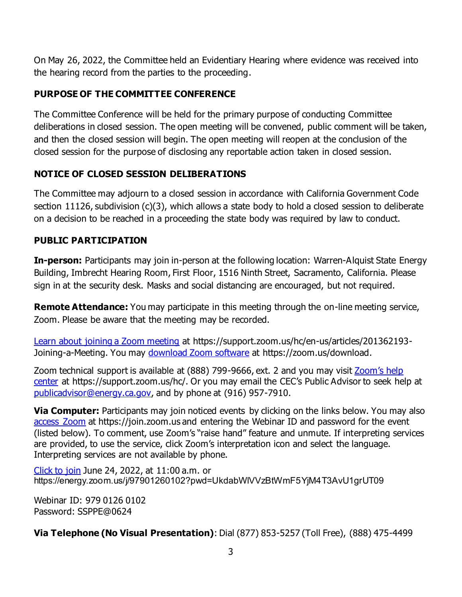On May 26, 2022, the Committee held an Evidentiary Hearing where evidence was received into the hearing record from the parties to the proceeding.

# **PURPOSE OF THE COMMITTEE CONFERENCE**

The Committee Conference will be held for the primary purpose of conducting Committee deliberations in closed session. The open meeting will be convened, public comment will be taken, and then the closed session will begin. The open meeting will reopen at the conclusion of the closed session for the purpose of disclosing any reportable action taken in closed session.

# **NOTICE OF CLOSED SESSION DELIBERATIONS**

The Committee may adjourn to a closed session in accordance with California Government Code section 11126, subdivision (c)(3), which allows a state body to hold a closed session to deliberate on a decision to be reached in a proceeding the state body was required by law to conduct.

### **PUBLIC PARTICIPATION**

**In-person:** Participants may join in-person at the following location: Warren-Alquist State Energy Building, Imbrecht Hearing Room, First Floor, 1516 Ninth Street, Sacramento, California. Please sign in at the security desk. Masks and social distancing are encouraged, but not required.

**Remote Attendance:** You may participate in this meeting through the on-line meeting service, Zoom. Please be aware that the meeting may be recorded.

[Learn about joining a Zoom meeting](https://support.zoom.us/hc/en-us/articles/201362193-Joining-a-Meeting) at https://support.zoom.us/hc/en-us/articles/201362193Joining-a-Meeting. You may [download Zoom software](https://zoom.us/download) at https://zoom.us/download.

Zoom technical support is available at (888) 799-9666, ext. 2 and you may visit Zoom's help [center](https://support.zoom.us/hc/) at https://support.zoom.us/hc/. Or you may email the CEC's Public Advisor to seek help at [publicadvisor@energy.ca.gov,](mailto:publicadvisor@energy.ca.gov) and by phone at (916) 957-7910.

**Via Computer:** Participants may join noticed events by clicking on the links below. You may also [access Zoom](https://join.zoom.us/) at https://join.zoom.us and entering the Webinar ID and password for the event (listed below). To comment, use Zoom's "raise hand" feature and unmute. If interpreting services are provided, to use the service, click Zoom's interpretation icon and select the language. Interpreting services are not available by phone.

Click [to join](https://energy.zoom.us/j/97901260102?pwd=UkdabWlVVzBtWmF5YjM4T3AvU1grUT09) June 24, 2022, at 11:00 a.m. or https://energy.zoom.us/j/97901260102?pwd=UkdabWlVVzBtWmF5YjM4T3AvU1grUT09

Webinar ID: 979 0126 0102 Password: SSPPE@0624

**Via Telephone (No Visual Presentation)**: Dial (877) 853-5257 (Toll Free), (888) 475-4499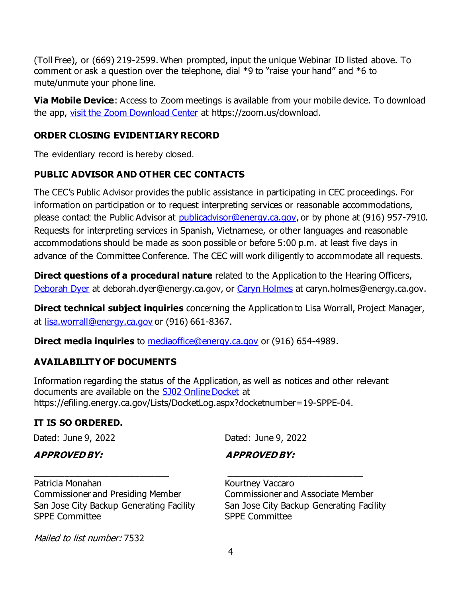(Toll Free), or (669) 219-2599. When prompted, input the unique Webinar ID listed above. To comment or ask a question over the telephone, dial  $*9$  to "raise your hand" and  $*6$  to mute/unmute your phone line.

**Via Mobile Device**: Access to Zoom meetings is available from your mobile device. To download the app, [visit the Zoom Download Center](https://zoom.us/download) at https://zoom.us/download.

### **ORDER CLOSING EVIDENTIARY RECORD**

The evidentiary record is hereby closed.

# **PUBLIC ADVISOR AND OTHER CEC CONTACTS**

The CEC's Public Advisor provides the public assistance in participating in CEC proceedings. For information on participation or to request interpreting services or reasonable accommodations, please contact the Public Advisor at [publicadvisor@energy.ca.gov,](mailto:publicadvisor@energy.ca.gov) or by phone at (916) 957-7910. Requests for interpreting services in Spanish, Vietnamese, or other languages and reasonable accommodations should be made as soon possible or before 5:00 p.m. at least five days in advance of the Committee Conference. The CEC will work diligently to accommodate all requests.

**Direct questions of a procedural nature** related to the Application to the Hearing Officers, [Deborah Dyer](mailto:deborah.dyer@energy.ca.gov) at deborah.dyer@energy.ca.gov, or [Caryn Holmes](mailto:caryn.holmes@energy.ca.gov) at caryn.holmes@energy.ca.gov.

**Direct technical subject inquiries** concerning the Application to Lisa Worrall, Project Manager, at [lisa.worrall@energy.ca.gov](mailto:lisa.worrall@energy.ca.gov) or (916) 661-8367.

**Direct media inquiries** to **[mediaoffice@energy.ca.gov](mailto:mediaoffice@energy.ca.gov)** or (916) 654-4989.

### **AVAILABILITY OF DOCUMENTS**

Information regarding the status of the Application, as well as notices and other relevant documents are available on the **[SJ02 Online Docket](https://efiling.energy.ca.gov/Lists/DocketLog.aspx?docketnumber=19-SPPE-04)** at https://efiling.energy.ca.gov/Lists/DocketLog.aspx?docketnumber=19-SPPE-04.

# **IT IS SO ORDERED.**

Dated: June 9, 2022

Dated: June 9, 2022

### **APPROVED BY:**

 **APPROVED BY:**

Patricia Monahan Commissioner and Presiding Member San Jose City Backup Generating Facility SPPE Committee

\_\_\_\_\_\_\_\_\_\_\_\_\_\_\_\_\_\_\_\_\_\_\_\_\_\_\_

Kourtney Vaccaro Commissioner and Associate Member San Jose City Backup Generating Facility SPPE Committee

\_\_\_\_\_\_\_\_\_\_\_\_\_\_\_\_\_\_\_\_\_\_\_\_\_\_\_

Mailed to list number: 7532